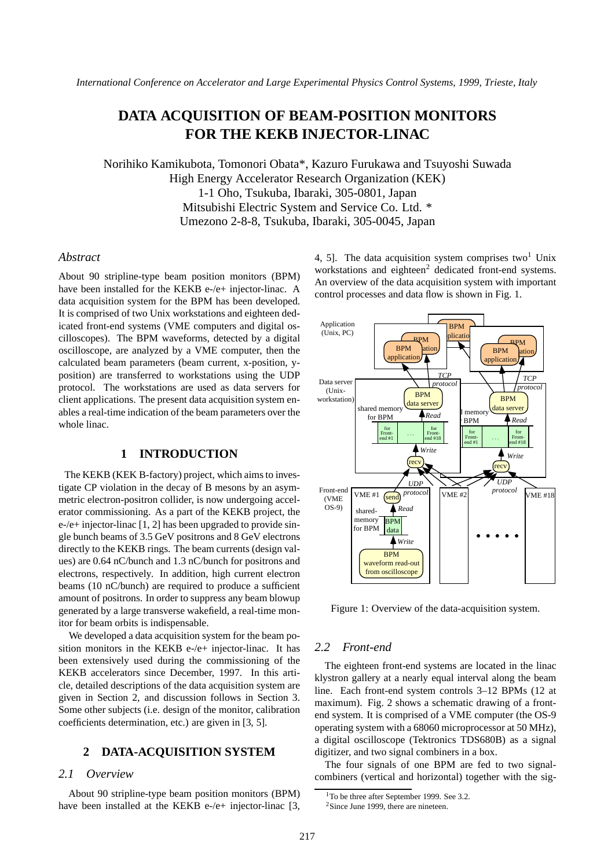# **DATA ACQUISITION OF BEAM-POSITION MONITORS FOR THE KEKB INJECTOR-LINAC**

Norihiko Kamikubota, Tomonori Obata\*, Kazuro Furukawa and Tsuyoshi Suwada High Energy Accelerator Research Organization (KEK) 1-1 Oho, Tsukuba, Ibaraki, 305-0801, Japan Mitsubishi Electric System and Service Co. Ltd. \* Umezono 2-8-8, Tsukuba, Ibaraki, 305-0045, Japan

### *Abstract*

About 90 stripline-type beam position monitors (BPM) have been installed for the KEKB e-/e+ injector-linac. A data acquisition system for the BPM has been developed. It is comprised of two Unix workstations and eighteen dedicated front-end systems (VME computers and digital oscilloscopes). The BPM waveforms, detected by a digital oscilloscope, are analyzed by a VME computer, then the calculated beam parameters (beam current, x-position, yposition) are transferred to workstations using the UDP protocol. The workstations are used as data servers for client applications. The present data acquisition system enables a real-time indication of the beam parameters over the whole linac.

# **1 INTRODUCTION**

The KEKB (KEK B-factory) project, which aims to investigate CP violation in the decay of B mesons by an asymmetric electron-positron collider, is now undergoing accelerator commissioning. As a part of the KEKB project, the e-/e+ injector-linac [1, 2] has been upgraded to provide single bunch beams of 3.5 GeV positrons and 8 GeV electrons directly to the KEKB rings. The beam currents (design values) are 0.64 nC/bunch and 1.3 nC/bunch for positrons and electrons, respectively. In addition, high current electron beams (10 nC/bunch) are required to produce a sufficient amount of positrons. In order to suppress any beam blowup generated by a large transverse wakefield, a real-time monitor for beam orbits is indispensable.

We developed a data acquisition system for the beam position monitors in the KEKB e-/e+ injector-linac. It has been extensively used during the commissioning of the KEKB accelerators since December, 1997. In this article, detailed descriptions of the data acquisition system are given in Section 2, and discussion follows in Section 3. Some other subjects (i.e. design of the monitor, calibration coefficients determination, etc.) are given in [3, 5].

## **2 DATA-ACQUISITION SYSTEM**

# *2.1 Overview*

About 90 stripline-type beam position monitors (BPM) have been installed at the KEKB e-/e+ injector-linac [3, 4, 5]. The data acquisition system comprises two<sup>1</sup> Unix workstations and eighteen<sup>2</sup> dedicated front-end systems. An overview of the data acquisition system with important control processes and data flow is shown in Fig. 1.



Figure 1: Overview of the data-acquisition system.

## *2.2 Front-end*

The eighteen front-end systems are located in the linac klystron gallery at a nearly equal interval along the beam line. Each front-end system controls 3–12 BPMs (12 at maximum). Fig. 2 shows a schematic drawing of a frontend system. It is comprised of a VME computer (the OS-9 operating system with a 68060 microprocessor at 50 MHz), a digital oscilloscope (Tektronics TDS680B) as a signal digitizer, and two signal combiners in a box.

The four signals of one BPM are fed to two signalcombiners (vertical and horizontal) together with the sig-

<sup>&</sup>lt;sup>1</sup>To be three after September 1999. See 3.2.

<sup>&</sup>lt;sup>2</sup>Since June 1999, there are nineteen.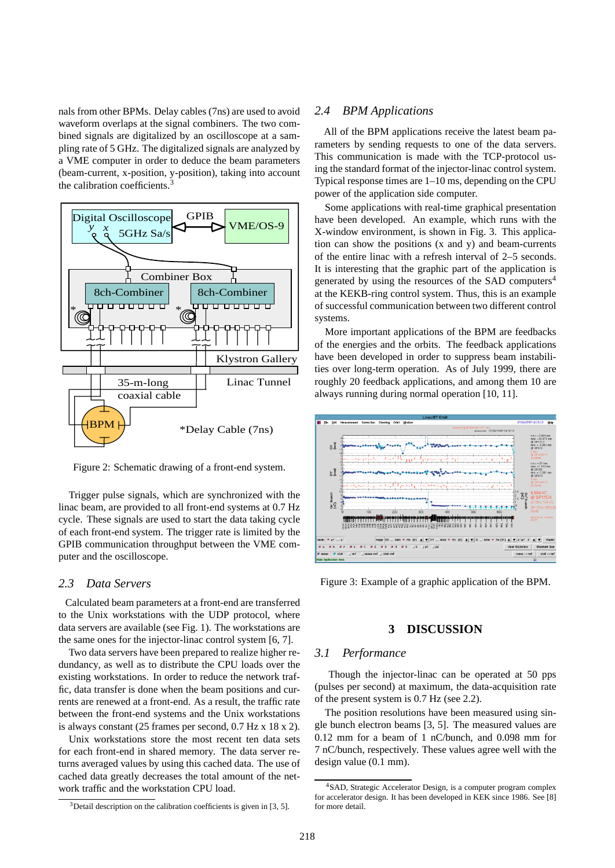nals from other BPMs. Delay cables (7ns) are used to avoid waveform overlaps at the signal combiners. The two combined signals are digitalized by an oscilloscope at a sampling rate of 5 GHz. The digitalized signals are analyzed by a VME computer in order to deduce the beam parameters (beam-current, x-position, y-position), taking into account the calibration coefficients.<sup>3</sup>



Figure 2: Schematic drawing of a front-end system.

Trigger pulse signals, which are synchronized with the linac beam, are provided to all front-end systems at 0.7 Hz cycle. These signals are used to start the data taking cycle of each front-end system. The trigger rate is limited by the GPIB communication throughput between the VME computer and the oscilloscope.

# *2.3 Data Servers*

Calculated beam parameters at a front-end are transferred to the Unix workstations with the UDP protocol, where data servers are available (see Fig. 1). The workstations are the same ones for the injector-linac control system [6, 7].

Two data servers have been prepared to realize higher redundancy, as well as to distribute the CPU loads over the existing workstations. In order to reduce the network traffic, data transfer is done when the beam positions and currents are renewed at a front-end. As a result, the traffic rate between the front-end systems and the Unix workstations is always constant (25 frames per second, 0.7 Hz x 18 x 2).

Unix workstations store the most recent ten data sets for each front-end in shared memory. The data server returns averaged values by using this cached data. The use of cached data greatly decreases the total amount of the network traffic and the workstation CPU load.

## *2.4 BPM Applications*

All of the BPM applications receive the latest beam parameters by sending requests to one of the data servers. This communication is made with the TCP-protocol using the standard format of the injector-linac control system. Typical response times are 1–10 ms, depending on the CPU power of the application side computer.

Some applications with real-time graphical presentation have been developed. An example, which runs with the X-window environment, is shown in Fig. 3. This application can show the positions (x and y) and beam-currents of the entire linac with a refresh interval of 2–5 seconds. It is interesting that the graphic part of the application is generated by using the resources of the SAD computers<sup>4</sup> at the KEKB-ring control system. Thus, this is an example of successful communication between two different control systems.

More important applications of the BPM are feedbacks of the energies and the orbits. The feedback applications have been developed in order to suppress beam instabilities over long-term operation. As of July 1999, there are roughly 20 feedback applications, and among them 10 are always running during normal operation [10, 11].



Figure 3: Example of a graphic application of the BPM.

#### **3 DISCUSSION**

#### *3.1 Performance*

Though the injector-linac can be operated at 50 pps (pulses per second) at maximum, the data-acquisition rate of the present system is 0.7 Hz (see 2.2).

The position resolutions have been measured using single bunch electron beams [3, 5]. The measured values are 0.12 mm for a beam of 1 nC/bunch, and 0.098 mm for 7 nC/bunch, respectively. These values agree well with the design value (0.1 mm).

 $3$ Detail description on the calibration coefficients is given in [3, 5].

<sup>4</sup>SAD, Strategic Accelerator Design, is a computer program complex for accelerator design. It has been developed in KEK since 1986. See [8] for more detail.